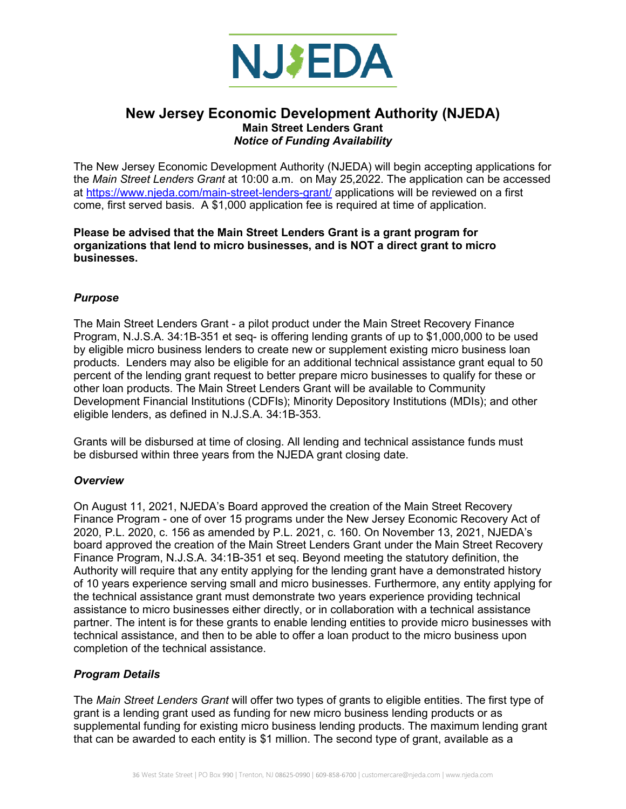

## **New Jersey Economic Development Authority (NJEDA) Main Street Lenders Grant**  *Notice of Funding Availability*

The New Jersey Economic Development Authority (NJEDA) will begin accepting applications for the *Main Street Lenders Grant* at 10:00 a.m. on May 25,2022. The application can be accessed at <https://www.njeda.com/main-street-lenders-grant/>applications will be reviewed on a first come, first served basis. A \$1,000 application fee is required at time of application.

#### **Please be advised that the Main Street Lenders Grant is a grant program for organizations that lend to micro businesses, and is NOT a direct grant to micro businesses.**

## *Purpose*

The Main Street Lenders Grant - a pilot product under the Main Street Recovery Finance Program, N.J.S.A. 34:1B-351 et seq- is offering lending grants of up to \$1,000,000 to be used by eligible micro business lenders to create new or supplement existing micro business loan products. Lenders may also be eligible for an additional technical assistance grant equal to 50 percent of the lending grant request to better prepare micro businesses to qualify for these or other loan products. The Main Street Lenders Grant will be available to Community Development Financial Institutions (CDFIs); Minority Depository Institutions (MDIs); and other eligible lenders, as defined in N.J.S.A. 34:1B-353.

Grants will be disbursed at time of closing. All lending and technical assistance funds must be disbursed within three years from the NJEDA grant closing date.

### *Overview*

On August 11, 2021, NJEDA's Board approved the creation of the Main Street Recovery Finance Program - one of over 15 programs under the New Jersey Economic Recovery Act of 2020, P.L. 2020, c. 156 as amended by P.L. 2021, c. 160. On November 13, 2021, NJEDA's board approved the creation of the Main Street Lenders Grant under the Main Street Recovery Finance Program, N.J.S.A. 34:1B-351 et seq. Beyond meeting the statutory definition, the Authority will require that any entity applying for the lending grant have a demonstrated history of 10 years experience serving small and micro businesses. Furthermore, any entity applying for the technical assistance grant must demonstrate two years experience providing technical assistance to micro businesses either directly, or in collaboration with a technical assistance partner. The intent is for these grants to enable lending entities to provide micro businesses with technical assistance, and then to be able to offer a loan product to the micro business upon completion of the technical assistance.

### *Program Details*

The *Main Street Lenders Grant* will offer two types of grants to eligible entities. The first type of grant is a lending grant used as funding for new micro business lending products or as supplemental funding for existing micro business lending products. The maximum lending grant that can be awarded to each entity is \$1 million. The second type of grant, available as a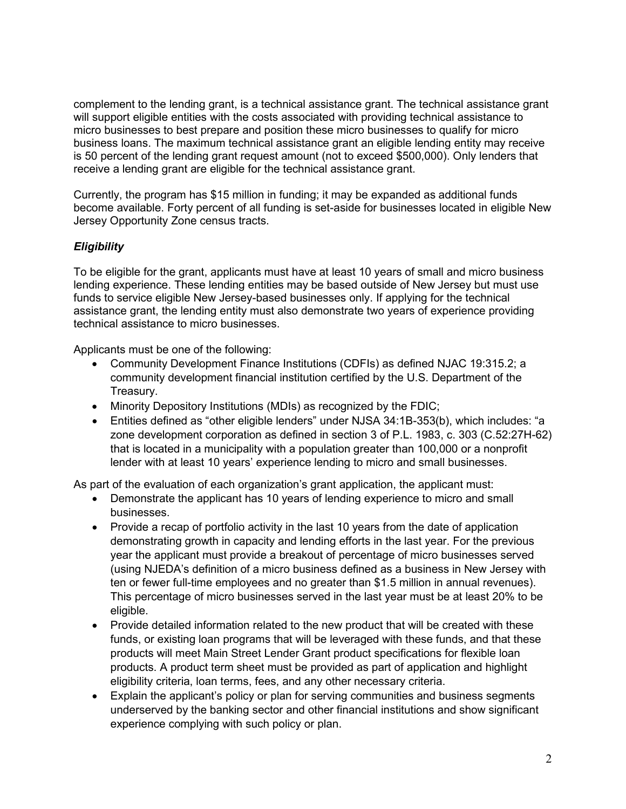complement to the lending grant, is a technical assistance grant. The technical assistance grant will support eligible entities with the costs associated with providing technical assistance to micro businesses to best prepare and position these micro businesses to qualify for micro business loans. The maximum technical assistance grant an eligible lending entity may receive is 50 percent of the lending grant request amount (not to exceed \$500,000). Only lenders that receive a lending grant are eligible for the technical assistance grant.

Currently, the program has \$15 million in funding; it may be expanded as additional funds become available. Forty percent of all funding is set-aside for businesses located in eligible New Jersey Opportunity Zone census tracts.

## *Eligibility*

To be eligible for the grant, applicants must have at least 10 years of small and micro business lending experience. These lending entities may be based outside of New Jersey but must use funds to service eligible New Jersey-based businesses only. If applying for the technical assistance grant, the lending entity must also demonstrate two years of experience providing technical assistance to micro businesses.

Applicants must be one of the following:

- Community Development Finance Institutions (CDFIs) as defined NJAC 19:315.2; a community development financial institution certified by the U.S. Department of the Treasury.
- Minority Depository Institutions (MDIs) as recognized by the FDIC;
- Entities defined as "other eligible lenders" under NJSA 34:1B-353(b), which includes: "a zone development corporation as defined in section 3 of P.L. 1983, c. 303 (C.52:27H-62) that is located in a municipality with a population greater than 100,000 or a nonprofit lender with at least 10 years' experience lending to micro and small businesses.

As part of the evaluation of each organization's grant application, the applicant must:

- Demonstrate the applicant has 10 years of lending experience to micro and small businesses.
- Provide a recap of portfolio activity in the last 10 years from the date of application demonstrating growth in capacity and lending efforts in the last year. For the previous year the applicant must provide a breakout of percentage of micro businesses served (using NJEDA's definition of a micro business defined as a business in New Jersey with ten or fewer full-time employees and no greater than \$1.5 million in annual revenues). This percentage of micro businesses served in the last year must be at least 20% to be eligible.
- Provide detailed information related to the new product that will be created with these funds, or existing loan programs that will be leveraged with these funds, and that these products will meet Main Street Lender Grant product specifications for flexible loan products. A product term sheet must be provided as part of application and highlight eligibility criteria, loan terms, fees, and any other necessary criteria.
- Explain the applicant's policy or plan for serving communities and business segments underserved by the banking sector and other financial institutions and show significant experience complying with such policy or plan.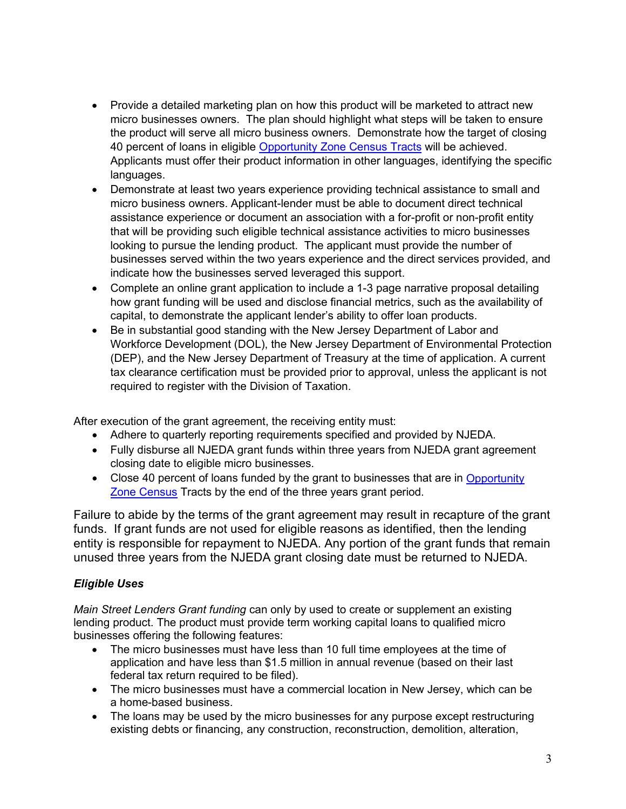- Provide a detailed marketing plan on how this product will be marketed to attract new micro businesses owners. The plan should highlight what steps will be taken to ensure the product will serve all micro business owners. Demonstrate how the target of closing 40 percent of loans in eligible [Opportunity Zone Census Tracts](https://nj.gov/governor/njopportunityzones/faqs/index.shtml) will be achieved. Applicants must offer their product information in other languages, identifying the specific languages.
- Demonstrate at least two years experience providing technical assistance to small and micro business owners. Applicant-lender must be able to document direct technical assistance experience or document an association with a for-profit or non-profit entity that will be providing such eligible technical assistance activities to micro businesses looking to pursue the lending product. The applicant must provide the number of businesses served within the two years experience and the direct services provided, and indicate how the businesses served leveraged this support.
- Complete an online grant application to include a 1-3 page narrative proposal detailing how grant funding will be used and disclose financial metrics, such as the availability of capital, to demonstrate the applicant lender's ability to offer loan products.
- Be in substantial good standing with the New Jersey Department of Labor and Workforce Development (DOL), the New Jersey Department of Environmental Protection (DEP), and the New Jersey Department of Treasury at the time of application. A current tax clearance certification must be provided prior to approval, unless the applicant is not required to register with the Division of Taxation.

After execution of the grant agreement, the receiving entity must:

- Adhere to quarterly reporting requirements specified and provided by NJEDA.
- Fully disburse all NJEDA grant funds within three years from NJEDA grant agreement closing date to eligible micro businesses.
- Close 40 percent of loans funded by the grant to businesses that are in Opportunity [Zone Census](https://nj.gov/governor/njopportunityzones/faqs/index.shtml) Tracts by the end of the three years grant period.

Failure to abide by the terms of the grant agreement may result in recapture of the grant funds. If grant funds are not used for eligible reasons as identified, then the lending entity is responsible for repayment to NJEDA. Any portion of the grant funds that remain unused three years from the NJEDA grant closing date must be returned to NJEDA.

# *Eligible Uses*

*Main Street Lenders Grant funding* can only by used to create or supplement an existing lending product. The product must provide term working capital loans to qualified micro businesses offering the following features:

- The micro businesses must have less than 10 full time employees at the time of application and have less than \$1.5 million in annual revenue (based on their last federal tax return required to be filed).
- The micro businesses must have a commercial location in New Jersey, which can be a home-based business.
- The loans may be used by the micro businesses for any purpose except restructuring existing debts or financing, any construction, reconstruction, demolition, alteration,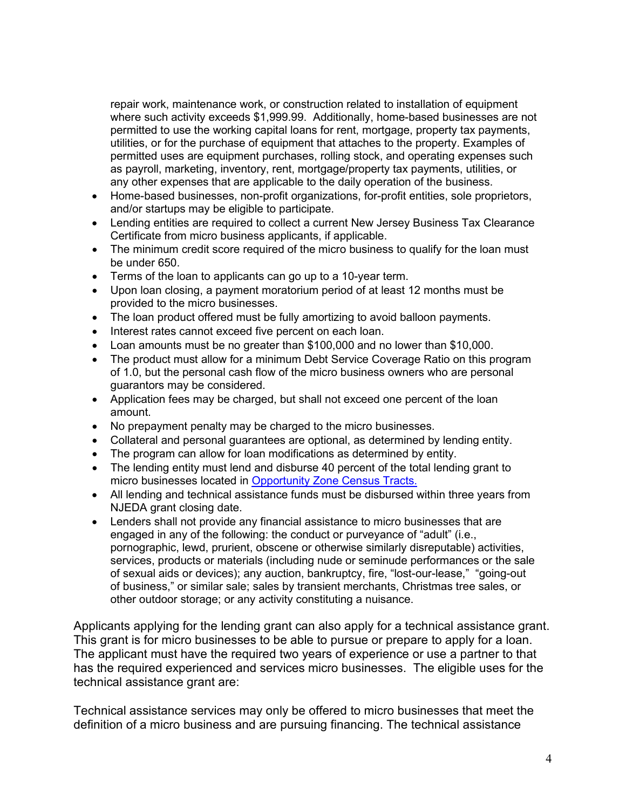repair work, maintenance work, or construction related to installation of equipment where such activity exceeds \$1,999.99. Additionally, home-based businesses are not permitted to use the working capital loans for rent, mortgage, property tax payments, utilities, or for the purchase of equipment that attaches to the property. Examples of permitted uses are equipment purchases, rolling stock, and operating expenses such as payroll, marketing, inventory, rent, mortgage/property tax payments, utilities, or any other expenses that are applicable to the daily operation of the business.

- Home-based businesses, non-profit organizations, for-profit entities, sole proprietors, and/or startups may be eligible to participate.
- Lending entities are required to collect a current New Jersey Business Tax Clearance Certificate from micro business applicants, if applicable.
- The minimum credit score required of the micro business to qualify for the loan must be under 650.
- Terms of the loan to applicants can go up to a 10-year term.
- Upon loan closing, a payment moratorium period of at least 12 months must be provided to the micro businesses.
- The loan product offered must be fully amortizing to avoid balloon payments.
- Interest rates cannot exceed five percent on each loan.
- Loan amounts must be no greater than \$100,000 and no lower than \$10,000.
- The product must allow for a minimum Debt Service Coverage Ratio on this program of 1.0, but the personal cash flow of the micro business owners who are personal guarantors may be considered.
- Application fees may be charged, but shall not exceed one percent of the loan amount.
- No prepayment penalty may be charged to the micro businesses.
- Collateral and personal guarantees are optional, as determined by lending entity.
- The program can allow for loan modifications as determined by entity.
- The lending entity must lend and disburse 40 percent of the total lending grant to micro businesses located in [Opportunity Zone Census Tracts.](https://nj.gov/governor/njopportunityzones/faqs/index.shtml)
- All lending and technical assistance funds must be disbursed within three years from NJEDA grant closing date.
- Lenders shall not provide any financial assistance to micro businesses that are engaged in any of the following: the conduct or purveyance of "adult" (i.e., pornographic, lewd, prurient, obscene or otherwise similarly disreputable) activities, services, products or materials (including nude or seminude performances or the sale of sexual aids or devices); any auction, bankruptcy, fire, "lost-our-lease," "going-out of business," or similar sale; sales by transient merchants, Christmas tree sales, or other outdoor storage; or any activity constituting a nuisance.

Applicants applying for the lending grant can also apply for a technical assistance grant. This grant is for micro businesses to be able to pursue or prepare to apply for a loan. The applicant must have the required two years of experience or use a partner to that has the required experienced and services micro businesses. The eligible uses for the technical assistance grant are:

Technical assistance services may only be offered to micro businesses that meet the definition of a micro business and are pursuing financing. The technical assistance